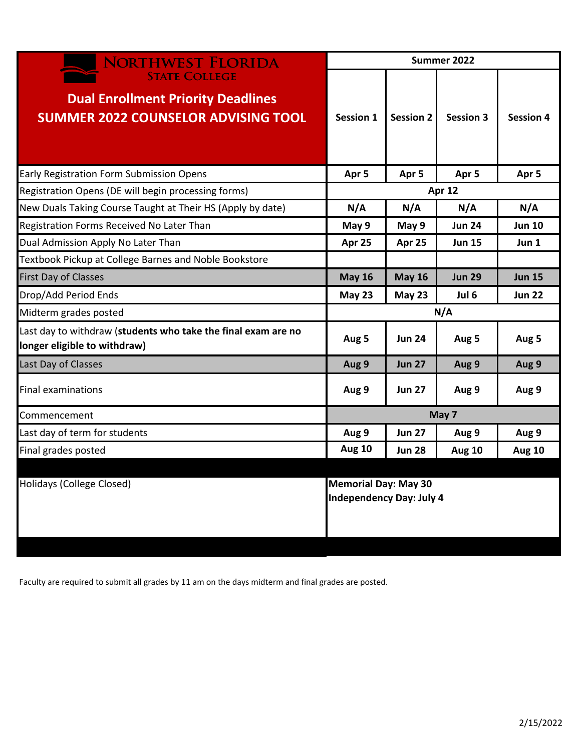| <b>NORTHWEST FLORIDA</b>                                                                                        | Summer 2022                                                    |                  |                  |                  |  |
|-----------------------------------------------------------------------------------------------------------------|----------------------------------------------------------------|------------------|------------------|------------------|--|
| <b>STATE COLLEGE</b><br><b>Dual Enrollment Priority Deadlines</b><br><b>SUMMER 2022 COUNSELOR ADVISING TOOL</b> | <b>Session 1</b>                                               | <b>Session 2</b> | <b>Session 3</b> | <b>Session 4</b> |  |
| Early Registration Form Submission Opens                                                                        | Apr 5                                                          | Apr 5            | Apr <sub>5</sub> | Apr 5            |  |
| Registration Opens (DE will begin processing forms)                                                             | Apr 12                                                         |                  |                  |                  |  |
| New Duals Taking Course Taught at Their HS (Apply by date)                                                      | N/A                                                            | N/A              | N/A              | N/A              |  |
| Registration Forms Received No Later Than                                                                       | May 9                                                          | May 9            | <b>Jun 24</b>    | <b>Jun 10</b>    |  |
| Dual Admission Apply No Later Than                                                                              | Apr 25                                                         | Apr 25           | <b>Jun 15</b>    | Jun 1            |  |
| Textbook Pickup at College Barnes and Noble Bookstore                                                           |                                                                |                  |                  |                  |  |
| <b>First Day of Classes</b>                                                                                     | <b>May 16</b>                                                  | <b>May 16</b>    | <b>Jun 29</b>    | <b>Jun 15</b>    |  |
| Drop/Add Period Ends                                                                                            | <b>May 23</b>                                                  | <b>May 23</b>    | Jul 6            | <b>Jun 22</b>    |  |
| Midterm grades posted                                                                                           | N/A                                                            |                  |                  |                  |  |
| Last day to withdraw (students who take the final exam are no<br>longer eligible to withdraw)                   | Aug 5                                                          | <b>Jun 24</b>    | Aug 5            | Aug 5            |  |
| Last Day of Classes                                                                                             | Aug 9                                                          | <b>Jun 27</b>    | Aug 9            | Aug 9            |  |
| <b>Final examinations</b>                                                                                       | Aug 9                                                          | <b>Jun 27</b>    | Aug 9            | Aug 9            |  |
| Commencement                                                                                                    | May 7                                                          |                  |                  |                  |  |
| Last day of term for students                                                                                   | Aug 9                                                          | <b>Jun 27</b>    | Aug 9            | Aug 9            |  |
| Final grades posted                                                                                             | <b>Aug 10</b>                                                  | <b>Jun 28</b>    | <b>Aug 10</b>    | <b>Aug 10</b>    |  |
| Holidays (College Closed)                                                                                       | <b>Memorial Day: May 30</b><br><b>Independency Day: July 4</b> |                  |                  |                  |  |

Faculty are required to submit all grades by 11 am on the days midterm and final grades are posted.